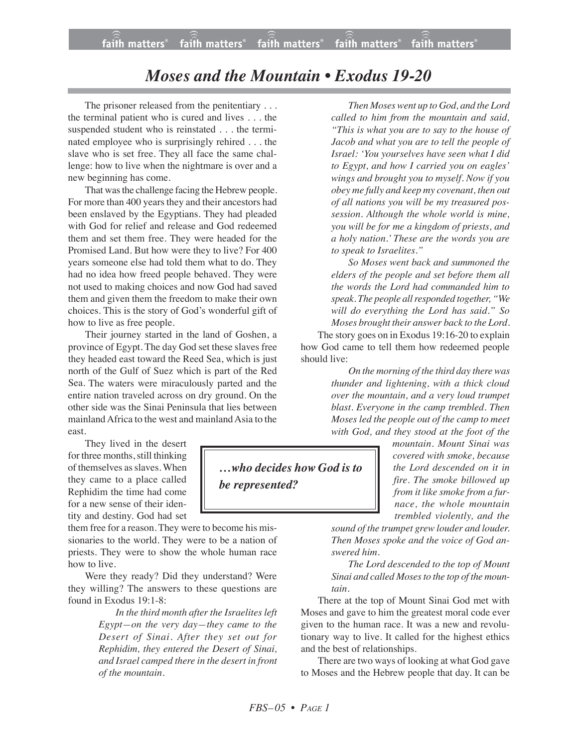## *Moses and the Mountain • Exodus 19-20*

The prisoner released from the penitentiary . . . the terminal patient who is cured and lives . . . the suspended student who is reinstated . . . the terminated employee who is surprisingly rehired . . . the slave who is set free. They all face the same challenge: how to live when the nightmare is over and a new beginning has come.

That was the challenge facing the Hebrew people. For more than 400 years they and their ancestors had been enslaved by the Egyptians. They had pleaded with God for relief and release and God redeemed them and set them free. They were headed for the Promised Land. But how were they to live? For 400 years someone else had told them what to do. They had no idea how freed people behaved. They were not used to making choices and now God had saved them and given them the freedom to make their own choices. This is the story of God's wonderful gift of how to live as free people.

Their journey started in the land of Goshen, a province of Egypt. The day God set these slaves free they headed east toward the Reed Sea, which is just north of the Gulf of Suez which is part of the Red Sea. The waters were miraculously parted and the entire nation traveled across on dry ground. On the other side was the Sinai Peninsula that lies between mainland Africa to the west and mainland Asia to the east.

They lived in the desert for three months, still thinking of themselves as slaves.When they came to a place called Rephidim the time had come for a new sense of their identity and destiny. God had set

them free for a reason. They were to become his missionaries to the world. They were to be a nation of priests. They were to show the whole human race how to live.

Were they ready? Did they understand? Were they willing? The answers to these questions are found in Exodus 19:1-8:

> *In the third month after the Israelites left Egypt—on the very day—they came to the Desert of Sinai. After they set out for Rephidim, they entered the Desert of Sinai, and Israel camped there in the desert in front of the mountain.*

*Then Moses went up to God, and the Lord called to him from the mountain and said, "This is what you are to say to the house of Jacob and what you are to tell the people of Israel: 'You yourselves have seen what I did to Egypt, and how I carried you on eagles' wings and brought you to myself. Now if you obey me fully and keep my covenant, then out of all nations you will be my treasured possession. Although the whole world is mine, you will be for me a kingdom of priests, and a holy nation.' These are the words you are to speak to Israelites."*

*So Moses went back and summoned the elders of the people and set before them all the words the Lord had commanded him to speak. The people all responded together, "We will do everything the Lord has said." So Moses brought their answer back to the Lord.*

The story goes on in Exodus 19:16-20 to explain how God came to tell them how redeemed people should live:

> *On the morning of the third day there was thunder and lightening, with a thick cloud over the mountain, and a very loud trumpet blast. Everyone in the camp trembled. Then Moses led the people out of the camp to meet with God, and they stood at the foot of the*

> > *mountain. Mount Sinai was covered with smoke, because the Lord descended on it in fire. The smoke billowed up from it like smoke from a furnace, the whole mountain trembled violently, and the*

*sound of the trumpet grew louder and louder. Then Moses spoke and the voice of God answered him.*

*The Lord descended to the top of Mount Sinai and called Moses to the top of the mountain.*

There at the top of Mount Sinai God met with Moses and gave to him the greatest moral code ever given to the human race. It was a new and revolutionary way to live. It called for the highest ethics and the best of relationships.

There are two ways of looking at what God gave to Moses and the Hebrew people that day. It can be

*…who decides how God is to be represented?*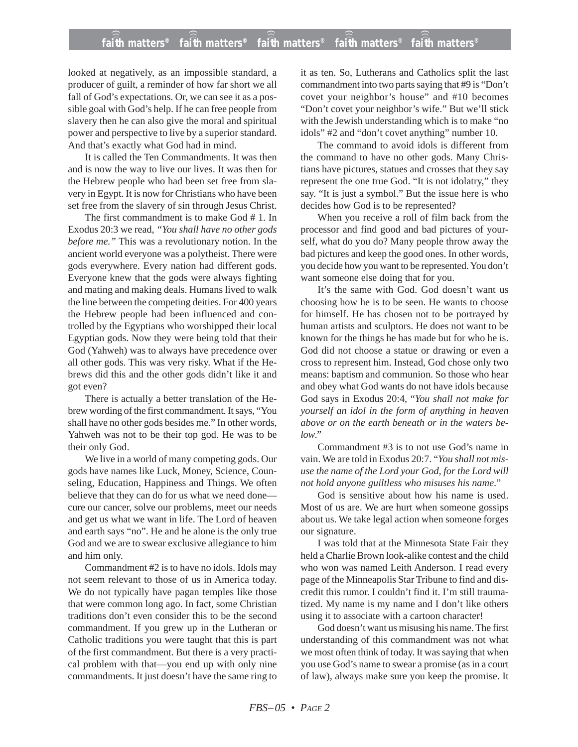looked at negatively, as an impossible standard, a producer of guilt, a reminder of how far short we all fall of God's expectations. Or, we can see it as a possible goal with God's help. If he can free people from slavery then he can also give the moral and spiritual power and perspective to live by a superior standard. And that's exactly what God had in mind.

It is called the Ten Commandments. It was then and is now the way to live our lives. It was then for the Hebrew people who had been set free from slavery in Egypt. It is now for Christians who have been set free from the slavery of sin through Jesus Christ.

The first commandment is to make God # 1. In Exodus 20:3 we read, *"You shall have no other gods before me."* This was a revolutionary notion. In the ancient world everyone was a polytheist. There were gods everywhere. Every nation had different gods. Everyone knew that the gods were always fighting and mating and making deals. Humans lived to walk the line between the competing deities. For 400 years the Hebrew people had been influenced and controlled by the Egyptians who worshipped their local Egyptian gods. Now they were being told that their God (Yahweh) was to always have precedence over all other gods. This was very risky. What if the Hebrews did this and the other gods didn't like it and got even?

There is actually a better translation of the Hebrew wording of the first commandment. It says, "You shall have no other gods besides me." In other words, Yahweh was not to be their top god. He was to be their only God.

We live in a world of many competing gods. Our gods have names like Luck, Money, Science, Counseling, Education, Happiness and Things. We often believe that they can do for us what we need done cure our cancer, solve our problems, meet our needs and get us what we want in life. The Lord of heaven and earth says "no". He and he alone is the only true God and we are to swear exclusive allegiance to him and him only.

Commandment #2 is to have no idols. Idols may not seem relevant to those of us in America today. We do not typically have pagan temples like those that were common long ago. In fact, some Christian traditions don't even consider this to be the second commandment. If you grew up in the Lutheran or Catholic traditions you were taught that this is part of the first commandment. But there is a very practical problem with that—you end up with only nine commandments. It just doesn't have the same ring to it as ten. So, Lutherans and Catholics split the last commandment into two parts saying that #9 is "Don't covet your neighbor's house" and #10 becomes "Don't covet your neighbor's wife." But we'll stick with the Jewish understanding which is to make "no idols" #2 and "don't covet anything" number 10.

The command to avoid idols is different from the command to have no other gods. Many Christians have pictures, statues and crosses that they say represent the one true God. "It is not idolatry," they say. "It is just a symbol." But the issue here is who decides how God is to be represented?

When you receive a roll of film back from the processor and find good and bad pictures of yourself, what do you do? Many people throw away the bad pictures and keep the good ones. In other words, you decide how you want to be represented. You don't want someone else doing that for you.

It's the same with God. God doesn't want us choosing how he is to be seen. He wants to choose for himself. He has chosen not to be portrayed by human artists and sculptors. He does not want to be known for the things he has made but for who he is. God did not choose a statue or drawing or even a cross to represent him. Instead, God chose only two means: baptism and communion. So those who hear and obey what God wants do not have idols because God says in Exodus 20:4, "*You shall not make for yourself an idol in the form of anything in heaven above or on the earth beneath or in the waters be* $low$ ."

Commandment #3 is to not use God's name in vain. We are told in Exodus 20:7. "*You shall not misuse the name of the Lord your God, for the Lord will not hold anyone guiltless who misuses his name*."

God is sensitive about how his name is used. Most of us are. We are hurt when someone gossips about us. We take legal action when someone forges our signature.

I was told that at the Minnesota State Fair they held a Charlie Brown look-alike contest and the child who won was named Leith Anderson. I read every page of the Minneapolis Star Tribune to find and discredit this rumor. I couldn't find it. I'm still traumatized. My name is my name and I don't like others using it to associate with a cartoon character!

God doesn't want us misusing his name. The first understanding of this commandment was not what we most often think of today. It was saying that when you use God's name to swear a promise (as in a court of law), always make sure you keep the promise. It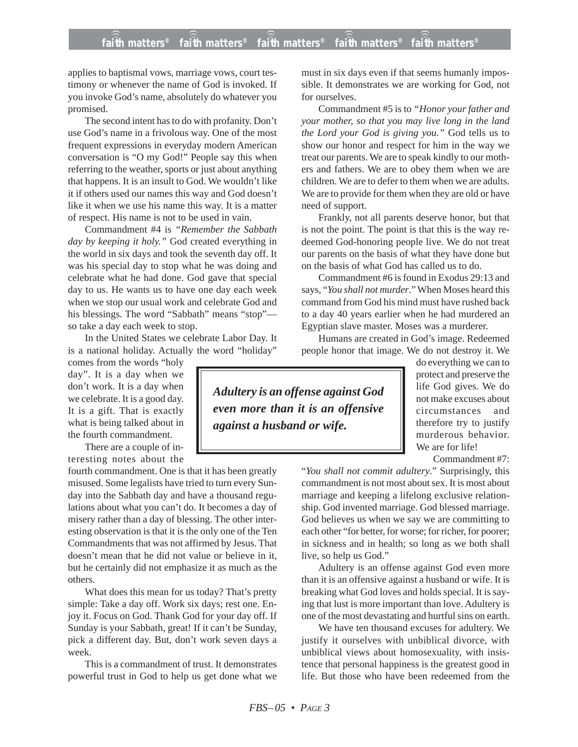applies to baptismal vows, marriage vows, court testimony or whenever the name of God is invoked. If you invoke God's name, absolutely do whatever you promised.

The second intent has to do with profanity. Don't use God's name in a frivolous way. One of the most frequent expressions in everyday modern American conversation is "O my God!" People say this when referring to the weather, sports or just about anything that happens. It is an insult to God. We wouldn't like it if others used our names this way and God doesn't like it when we use his name this way. It is a matter of respect. His name is not to be used in vain.

Commandment #4 is *"Remember the Sabbath day by keeping it holy."* God created everything in the world in six days and took the seventh day off. It was his special day to stop what he was doing and celebrate what he had done. God gave that special day to us. He wants us to have one day each week when we stop our usual work and celebrate God and his blessings. The word "Sabbath" means "stop" so take a day each week to stop.

In the United States we celebrate Labor Day. It is a national holiday. Actually the word "holiday"

comes from the words "holy day". It is a day when we don't work. It is a day when we celebrate. It is a good day. It is a gift. That is exactly what is being talked about in the fourth commandment.

There are a couple of interesting notes about the

fourth commandment. One is that it has been greatly misused. Some legalists have tried to turn every Sunday into the Sabbath day and have a thousand regulations about what you can't do. It becomes a day of misery rather than a day of blessing. The other interesting observation is that it is the only one of the Ten Commandments that was not affirmed by Jesus. That doesn't mean that he did not value or believe in it, but he certainly did not emphasize it as much as the others.

What does this mean for us today? That's pretty simple: Take a day off. Work six days; rest one. Enjoy it. Focus on God. Thank God for your day off. If Sunday is your Sabbath, great! If it can't be Sunday, pick a different day. But, don't work seven days a week.

This is a commandment of trust. It demonstrates powerful trust in God to help us get done what we must in six days even if that seems humanly impossible. It demonstrates we are working for God, not for ourselves.

Commandment #5 is to *"Honor your father and your mother, so that you may live long in the land the Lord your God is giving you."* God tells us to show our honor and respect for him in the way we treat our parents. We are to speak kindly to our mothers and fathers. We are to obey them when we are children. We are to defer to them when we are adults. We are to provide for them when they are old or have need of support.

Frankly, not all parents deserve honor, but that is not the point. The point is that this is the way redeemed God-honoring people live. We do not treat our parents on the basis of what they have done but on the basis of what God has called us to do.

Commandment #6 is found in Exodus 29:13 and says, "*You shall not murder*." When Moses heard this command from God his mind must have rushed back to a day 40 years earlier when he had murdered an Egyptian slave master. Moses was a murderer.

Humans are created in God's image. Redeemed people honor that image. We do not destroy it. We

*Adultery is an offense against God even more than it is an offensive against a husband or wife.*

do everything we can to protect and preserve the life God gives. We do not make excuses about circumstances and therefore try to justify murderous behavior. We are for life!

Commandment #7:

"*You shall not commit adultery*." Surprisingly, this commandment is not most about sex. It is most about marriage and keeping a lifelong exclusive relationship. God invented marriage. God blessed marriage. God believes us when we say we are committing to each other "for better, for worse; for richer, for poorer; in sickness and in health; so long as we both shall live, so help us God."

Adultery is an offense against God even more than it is an offensive against a husband or wife. It is breaking what God loves and holds special. It is saying that lust is more important than love. Adultery is one of the most devastating and hurtful sins on earth.

We have ten thousand excuses for adultery. We justify it ourselves with unbiblical divorce, with unbiblical views about homosexuality, with insistence that personal happiness is the greatest good in life. But those who have been redeemed from the